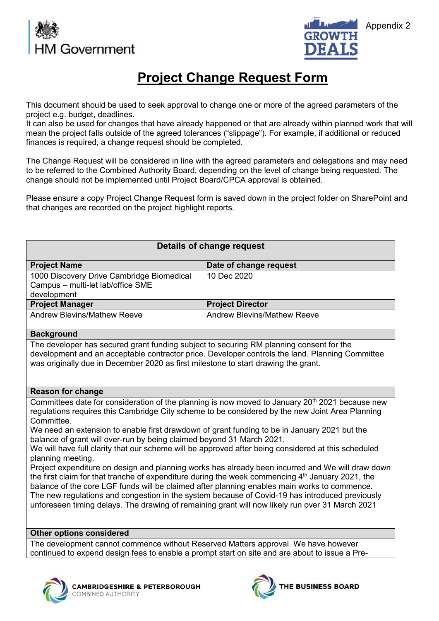



# **Project Change Request Form**

This document should be used to seek approval to change one or more of the agreed parameters of the project e.g. budget, deadlines.

It can also be used for changes that have already happened or that are already within planned work that will mean the project falls outside of the agreed tolerances ("slippage"). For example, if additional or reduced finances is required, a change request should be completed.

The Change Request will be considered in line with the agreed parameters and delegations and may need to be referred to the Combined Authority Board, depending on the level of change being requested. The change should not be implemented until Project Board/CPCA approval is obtained.

Please ensure a copy Project Change Request form is saved down in the project folder on SharePoint and that changes are recorded on the project highlight reports.

## **Details of change request Project Name Date of change request** 1000 Discovery Drive Cambridge Biomedical Campus – multi-let lab/office SME development 10 Dec 2020 **Project Manager Project Director** Andrew Blevins/Mathew Reeve Andrew Blevins/Mathew Reeve **Background** The developer has secured grant funding subject to securing RM planning consent for the development and an acceptable contractor price. Developer controls the land. Planning Committee was originally due in December 2020 as first milestone to start drawing the grant. **Reason for change** Committees date for consideration of the planning is now moved to January 20<sup>th</sup> 2021 because new regulations requires this Cambridge City scheme to be considered by the new Joint Area Planning Committee. We need an extension to enable first drawdown of grant funding to be in January 2021 but the balance of grant will over-run by being claimed beyond 31 March 2021. We will have full clarity that our scheme will be approved after being considered at this scheduled planning meeting. Project expenditure on design and planning works has already been incurred and We will draw down the first claim for that tranche of expenditure during the week commencing  $4<sup>th</sup>$  January 2021, the balance of the core LGF funds will be claimed after planning enables main works to commence. The new regulations and congestion in the system because of Covid-19 has introduced previously unforeseen timing delays. The drawing of remaining grant will now likely run over 31 March 2021 **Other options considered**  The development cannot commence without Reserved Matters approval. We have however

continued to expend design fees to enable a prompt start on site and are about to issue a Pre-